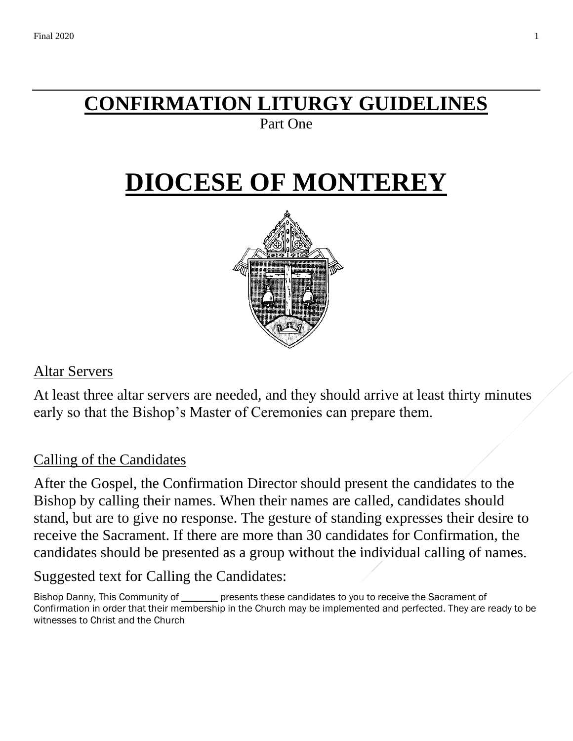# **CONFIRMATION LITURGY GUIDELINES**

### Part One

# **DIOCESE OF MONTEREY**



### Altar Servers

At least three altar servers are needed, and they should arrive at least thirty minutes early so that the Bishop's Master of Ceremonies can prepare them.

# Calling of the Candidates

After the Gospel, the Confirmation Director should present the candidates to the Bishop by calling their names. When their names are called, candidates should stand, but are to give no response. The gesture of standing expresses their desire to receive the Sacrament. If there are more than 30 candidates for Confirmation, the candidates should be presented as a group without the individual calling of names.

# Suggested text for Calling the Candidates:

Bishop Danny, This Community of \_\_\_\_\_\_\_ presents these candidates to you to receive the Sacrament of Confirmation in order that their membership in the Church may be implemented and perfected. They are ready to be witnesses to Christ and the Church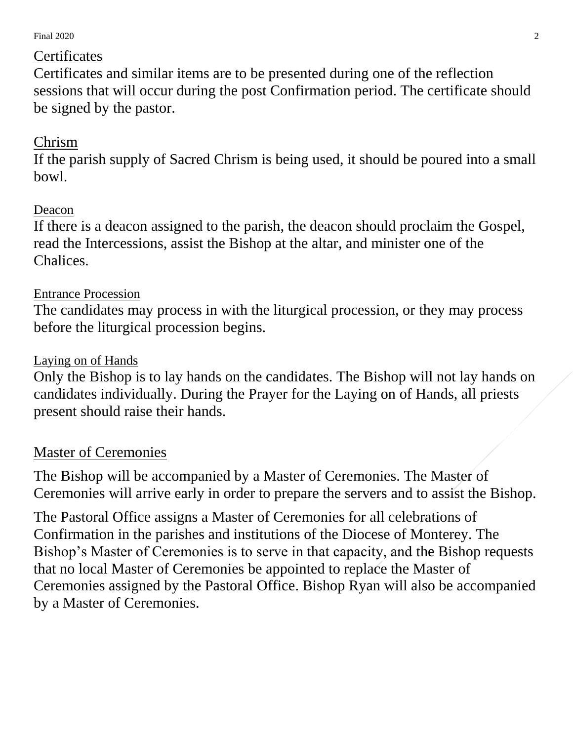Final  $2020$   $2$ 

### **Certificates**

Certificates and similar items are to be presented during one of the reflection sessions that will occur during the post Confirmation period. The certificate should be signed by the pastor.

# Chrism

If the parish supply of Sacred Chrism is being used, it should be poured into a small bowl.

## Deacon

If there is a deacon assigned to the parish, the deacon should proclaim the Gospel, read the Intercessions, assist the Bishop at the altar, and minister one of the Chalices.

### Entrance Procession

The candidates may process in with the liturgical procession, or they may process before the liturgical procession begins.

#### Laying on of Hands

Only the Bishop is to lay hands on the candidates. The Bishop will not lay hands on candidates individually. During the Prayer for the Laying on of Hands, all priests present should raise their hands.

### Master of Ceremonies

The Bishop will be accompanied by a Master of Ceremonies. The Master of Ceremonies will arrive early in order to prepare the servers and to assist the Bishop.

The Pastoral Office assigns a Master of Ceremonies for all celebrations of Confirmation in the parishes and institutions of the Diocese of Monterey. The Bishop's Master of Ceremonies is to serve in that capacity, and the Bishop requests that no local Master of Ceremonies be appointed to replace the Master of Ceremonies assigned by the Pastoral Office. Bishop Ryan will also be accompanied by a Master of Ceremonies.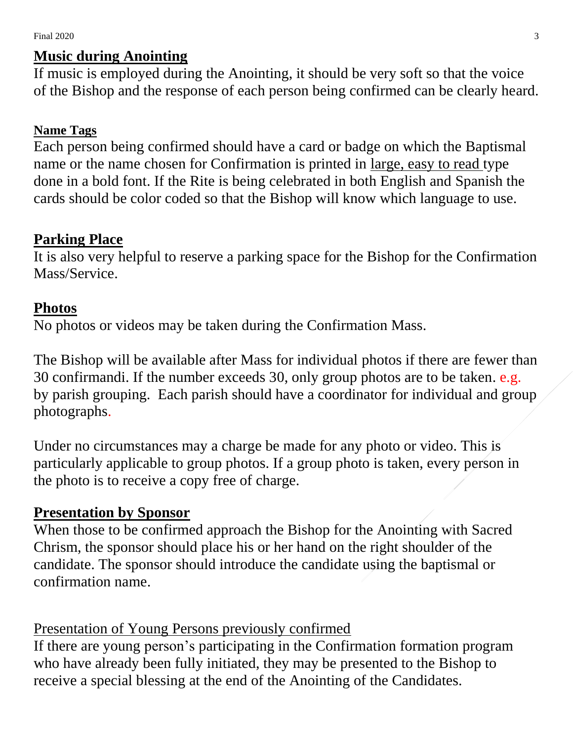#### Final  $2020$   $\hspace{1.5cm}$  3

#### **Music during Anointing**

If music is employed during the Anointing, it should be very soft so that the voice of the Bishop and the response of each person being confirmed can be clearly heard.

#### **Name Tags**

Each person being confirmed should have a card or badge on which the Baptismal name or the name chosen for Confirmation is printed in large, easy to read type done in a bold font. If the Rite is being celebrated in both English and Spanish the cards should be color coded so that the Bishop will know which language to use.

#### **Parking Place**

It is also very helpful to reserve a parking space for the Bishop for the Confirmation Mass/Service.

#### **Photos**

No photos or videos may be taken during the Confirmation Mass.

The Bishop will be available after Mass for individual photos if there are fewer than 30 confirmandi. If the number exceeds 30, only group photos are to be taken. e.g. by parish grouping. Each parish should have a coordinator for individual and group photographs.

Under no circumstances may a charge be made for any photo or video. This is particularly applicable to group photos. If a group photo is taken, every person in the photo is to receive a copy free of charge.

#### **Presentation by Sponsor**

When those to be confirmed approach the Bishop for the Anointing with Sacred Chrism, the sponsor should place his or her hand on the right shoulder of the candidate. The sponsor should introduce the candidate using the baptismal or confirmation name.

Presentation of Young Persons previously confirmed

If there are young person's participating in the Confirmation formation program who have already been fully initiated, they may be presented to the Bishop to receive a special blessing at the end of the Anointing of the Candidates.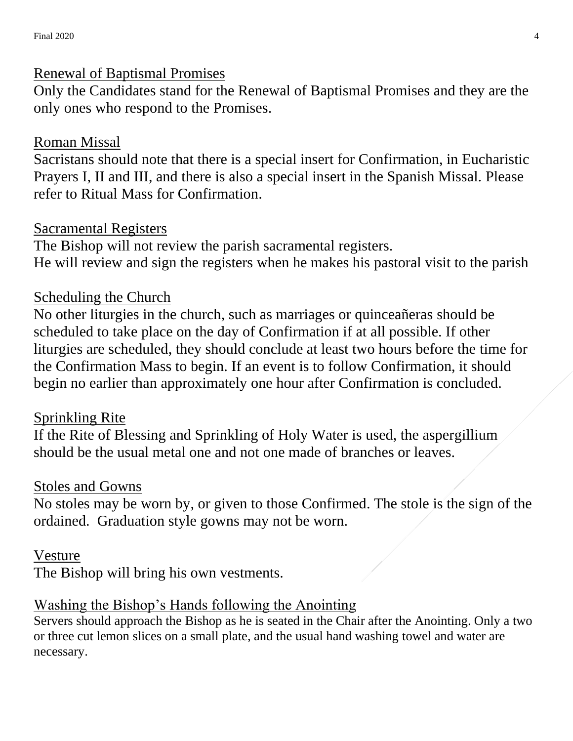#### Renewal of Baptismal Promises

Only the Candidates stand for the Renewal of Baptismal Promises and they are the only ones who respond to the Promises.

### Roman Missal

Sacristans should note that there is a special insert for Confirmation, in Eucharistic Prayers I, II and III, and there is also a special insert in the Spanish Missal. Please refer to Ritual Mass for Confirmation.

### Sacramental Registers

The Bishop will not review the parish sacramental registers. He will review and sign the registers when he makes his pastoral visit to the parish

## Scheduling the Church

No other liturgies in the church, such as marriages or quinceañeras should be scheduled to take place on the day of Confirmation if at all possible. If other liturgies are scheduled, they should conclude at least two hours before the time for the Confirmation Mass to begin. If an event is to follow Confirmation, it should begin no earlier than approximately one hour after Confirmation is concluded.

### Sprinkling Rite

If the Rite of Blessing and Sprinkling of Holy Water is used, the aspergillium should be the usual metal one and not one made of branches or leaves.

#### Stoles and Gowns

No stoles may be worn by, or given to those Confirmed. The stole is the sign of the ordained. Graduation style gowns may not be worn.

### Vesture

The Bishop will bring his own vestments.

### Washing the Bishop's Hands following the Anointing

Servers should approach the Bishop as he is seated in the Chair after the Anointing. Only a two or three cut lemon slices on a small plate, and the usual hand washing towel and water are necessary.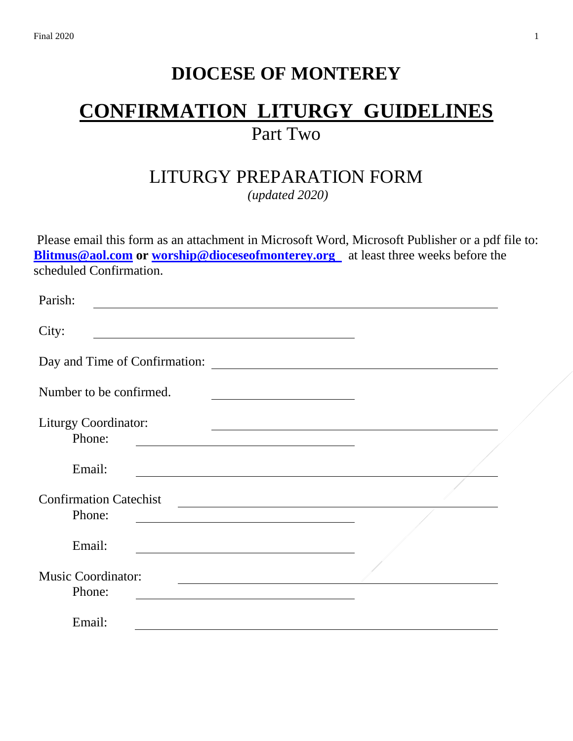# **DIOCESE OF MONTEREY**

# **CONFIRMATION LITURGY GUIDELINES** Part Two

# LITURGY PREPARATION FORM

*(updated 2020)*

Please email this form as an attachment in Microsoft Word, Microsoft Publisher or a pdf file to: **[Blitmus@aol.com](mailto:Blitmus@aol.com)** or [worship@dioceseofmonterey.org](mailto:worship@dioceseofmonterey.org) at least three weeks before the scheduled Confirmation.

| Parish:                                 |                                                                                                                        |                                                                     |  |
|-----------------------------------------|------------------------------------------------------------------------------------------------------------------------|---------------------------------------------------------------------|--|
| City:                                   | <u> 1989 - Johann Stoff, deutscher Stoffen und der Stoffen und der Stoffen und der Stoffen und der Stoffen und der</u> |                                                                     |  |
| Day and Time of Confirmation:           |                                                                                                                        | <u> 1989 - Johann Marie Barn, mars an t-Amerikaansk kommunist (</u> |  |
| Number to be confirmed.                 |                                                                                                                        |                                                                     |  |
| <b>Liturgy Coordinator:</b><br>Phone:   |                                                                                                                        |                                                                     |  |
| Email:                                  |                                                                                                                        |                                                                     |  |
| <b>Confirmation Catechist</b><br>Phone: |                                                                                                                        |                                                                     |  |
| Email:                                  |                                                                                                                        |                                                                     |  |
| <b>Music Coordinator:</b><br>Phone:     |                                                                                                                        | <u> 1989 - Johann Barbara, martxa alemaniar a</u>                   |  |
| Email:                                  |                                                                                                                        |                                                                     |  |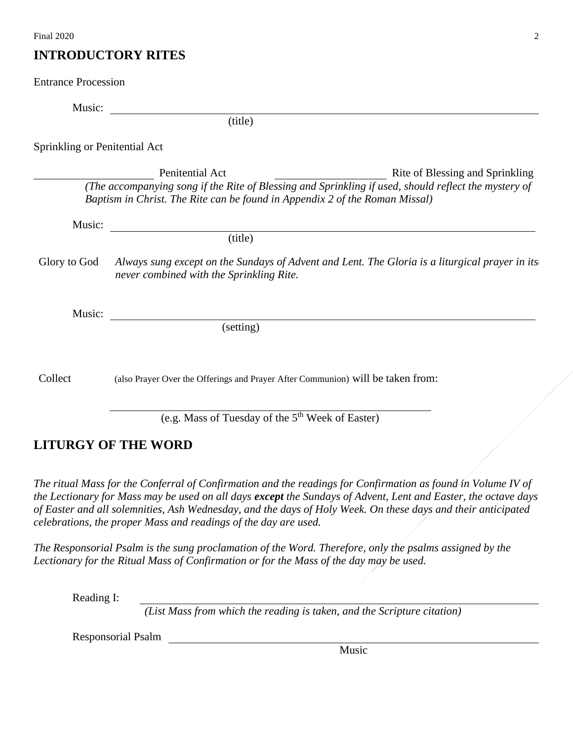#### **INTRODUCTORY RITES**

| <b>Entrance Procession</b>           |                                                                                                                                                                                     |                                                                                                |
|--------------------------------------|-------------------------------------------------------------------------------------------------------------------------------------------------------------------------------------|------------------------------------------------------------------------------------------------|
| Music:                               |                                                                                                                                                                                     |                                                                                                |
|                                      | (title)                                                                                                                                                                             |                                                                                                |
| <b>Sprinkling or Penitential Act</b> |                                                                                                                                                                                     |                                                                                                |
|                                      | Penitential Act                                                                                                                                                                     | Rite of Blessing and Sprinkling                                                                |
|                                      | (The accompanying song if the Rite of Blessing and Sprinkling if used, should reflect the mystery of<br>Baptism in Christ. The Rite can be found in Appendix 2 of the Roman Missal) |                                                                                                |
| Music:                               | <u> 1989 - John Stone, Amerikaansk politiker (* 1989)</u>                                                                                                                           |                                                                                                |
|                                      | (title)                                                                                                                                                                             |                                                                                                |
| Glory to God                         | never combined with the Sprinkling Rite.                                                                                                                                            | Always sung except on the Sundays of Advent and Lent. The Gloria is a liturgical prayer in its |
| Music:                               |                                                                                                                                                                                     |                                                                                                |
|                                      | $\overline{\text{(setting)}}$                                                                                                                                                       |                                                                                                |
| Collect                              | (also Prayer Over the Offerings and Prayer After Communion) will be taken from:                                                                                                     |                                                                                                |
|                                      |                                                                                                                                                                                     |                                                                                                |
|                                      | (e.g. Mass of Tuesday of the 5 <sup>th</sup> Week of Easter)                                                                                                                        |                                                                                                |

#### **LITURGY OF THE WORD**

*The ritual Mass for the Conferral of Confirmation and the readings for Confirmation as found in Volume IV of the Lectionary for Mass may be used on all days except the Sundays of Advent, Lent and Easter, the octave days of Easter and all solemnities, Ash Wednesday, and the days of Holy Week. On these days and their anticipated celebrations, the proper Mass and readings of the day are used.* 

*The Responsorial Psalm is the sung proclamation of the Word. Therefore, only the psalms assigned by the Lectionary for the Ritual Mass of Confirmation or for the Mass of the day may be used.*

Reading I:

*(List Mass from which the reading is taken, and the Scripture citation)*

Responsorial Psalm

Music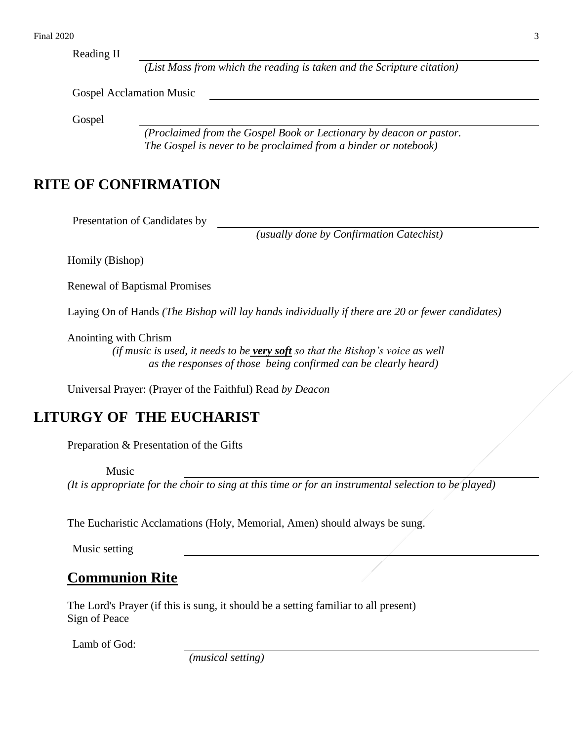Reading II

*(List Mass from which the reading is taken and the Scripture citation)*

Gospel Acclamation Music

Gospel

*(Proclaimed from the Gospel Book or Lectionary by deacon or pastor. The Gospel is never to be proclaimed from a binder or notebook)*

#### **RITE OF CONFIRMATION**

Presentation of Candidates by

*(usually done by Confirmation Catechist)*

Homily (Bishop)

Renewal of Baptismal Promises

Laying On of Hands *(The Bishop will lay hands individually if there are 20 or fewer candidates)*

Anointing with Chrism

 *(if music is used, it needs to be very soft so that the Bishop's voice as well as the responses of those being confirmed can be clearly heard)*

Universal Prayer: (Prayer of the Faithful) Read *by Deacon*

#### **LITURGY OF THE EUCHARIST**

Preparation & Presentation of the Gifts

Music

*(It is appropriate for the choir to sing at this time or for an instrumental selection to be played)*

The Eucharistic Acclamations (Holy, Memorial, Amen) should always be sung.

Music setting

#### **Communion Rite**

The Lord's Prayer (if this is sung, it should be a setting familiar to all present) Sign of Peace

Lamb of God:

*(musical setting)*